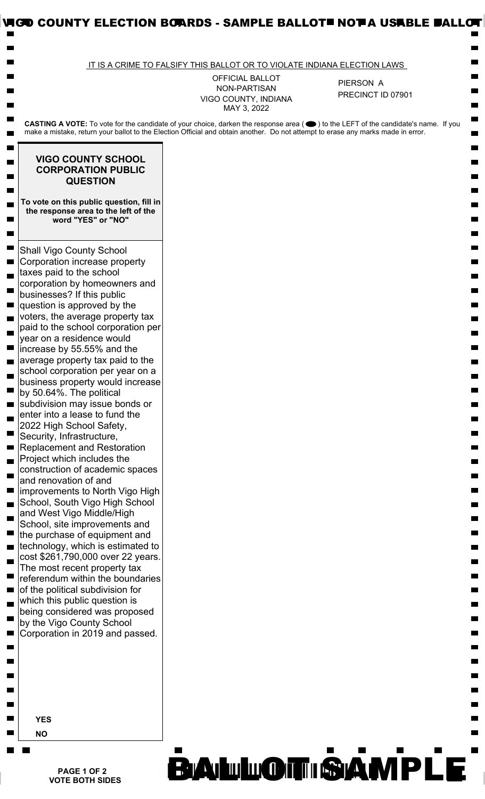|                                                                                                                                                                                                                                                                                                                                                                                                                                                                                                                                                                                                                                                                                                                                                                                                                                                                                                                                                                                                                                                                                                                                                                                                                              | IT IS A CRIME TO FALSIFY THIS BALLOT OR TO VIOLATE INDIANA ELECTION LAWS |                                                                                                                                    |
|------------------------------------------------------------------------------------------------------------------------------------------------------------------------------------------------------------------------------------------------------------------------------------------------------------------------------------------------------------------------------------------------------------------------------------------------------------------------------------------------------------------------------------------------------------------------------------------------------------------------------------------------------------------------------------------------------------------------------------------------------------------------------------------------------------------------------------------------------------------------------------------------------------------------------------------------------------------------------------------------------------------------------------------------------------------------------------------------------------------------------------------------------------------------------------------------------------------------------|--------------------------------------------------------------------------|------------------------------------------------------------------------------------------------------------------------------------|
|                                                                                                                                                                                                                                                                                                                                                                                                                                                                                                                                                                                                                                                                                                                                                                                                                                                                                                                                                                                                                                                                                                                                                                                                                              | <b>OFFICIAL BALLOT</b>                                                   | PIERSON A                                                                                                                          |
|                                                                                                                                                                                                                                                                                                                                                                                                                                                                                                                                                                                                                                                                                                                                                                                                                                                                                                                                                                                                                                                                                                                                                                                                                              | NON-PARTISAN<br>VIGO COUNTY, INDIANA<br>MAY 3, 2022                      | PRECINCT ID 07901                                                                                                                  |
| make a mistake, return your ballot to the Election Official and obtain another. Do not attempt to erase any marks made in error.                                                                                                                                                                                                                                                                                                                                                                                                                                                                                                                                                                                                                                                                                                                                                                                                                                                                                                                                                                                                                                                                                             |                                                                          | CASTING A VOTE: To vote for the candidate of your choice, darken the response area (●) to the LEFT of the candidate's name. If you |
| <b>VIGO COUNTY SCHOOL</b><br><b>CORPORATION PUBLIC</b><br><b>QUESTION</b>                                                                                                                                                                                                                                                                                                                                                                                                                                                                                                                                                                                                                                                                                                                                                                                                                                                                                                                                                                                                                                                                                                                                                    |                                                                          |                                                                                                                                    |
| To vote on this public question, fill in<br>the response area to the left of the<br>word "YES" or "NO"                                                                                                                                                                                                                                                                                                                                                                                                                                                                                                                                                                                                                                                                                                                                                                                                                                                                                                                                                                                                                                                                                                                       |                                                                          |                                                                                                                                    |
| <b>Shall Vigo County School</b><br>Corporation increase property<br>taxes paid to the school<br>corporation by homeowners and<br>businesses? If this public<br>question is approved by the<br>voters, the average property tax<br>paid to the school corporation per<br>year on a residence would<br>increase by 55.55% and the<br>average property tax paid to the<br>school corporation per year on a<br>business property would increase<br>by 50.64%. The political<br>subdivision may issue bonds or<br>enter into a lease to fund the<br>2022 High School Safety,<br>Security, Infrastructure,<br><b>Replacement and Restoration</b><br>Project which includes the<br>construction of academic spaces<br>and renovation of and<br>improvements to North Vigo High<br>School, South Vigo High School<br>and West Vigo Middle/High<br>School, site improvements and<br>the purchase of equipment and<br>technology, which is estimated to<br>cost \$261,790,000 over 22 years.<br>The most recent property tax<br>referendum within the boundaries<br>of the political subdivision for<br>which this public question is<br>being considered was proposed<br>by the Vigo County School<br>Corporation in 2019 and passed. |                                                                          |                                                                                                                                    |
| <b>YES</b><br><b>NO</b>                                                                                                                                                                                                                                                                                                                                                                                                                                                                                                                                                                                                                                                                                                                                                                                                                                                                                                                                                                                                                                                                                                                                                                                                      |                                                                          |                                                                                                                                    |